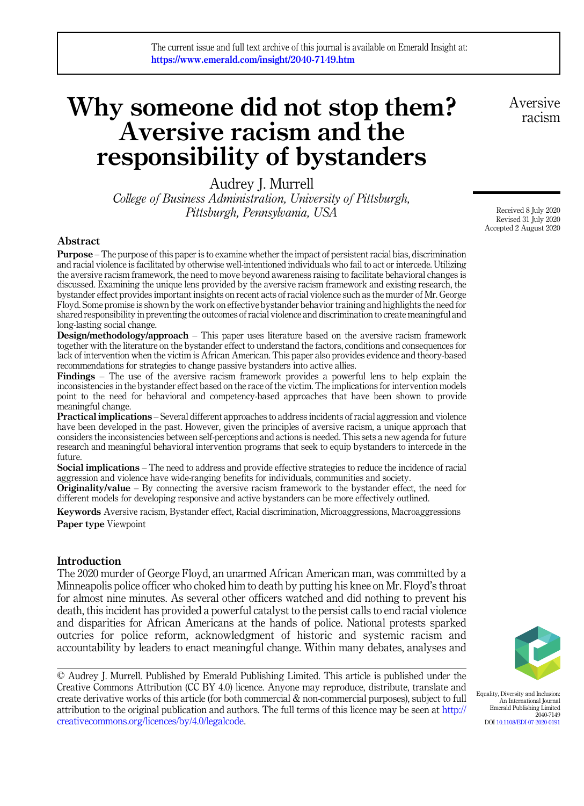# Why someone did not stop them? Aversive racism and the responsibility of bystanders

Audrey J. Murrell

College of Business Administration, University of Pittsburgh, Pittsburgh, Pennsylvania, USA

# Abstract

Purpose – The purpose of this paper is to examine whether the impact of persistent racial bias, discrimination and racial violence is facilitated by otherwise well-intentioned individuals who fail to act or intercede. Utilizing the aversive racism framework, the need to move beyond awareness raising to facilitate behavioral changes is discussed. Examining the unique lens provided by the aversive racism framework and existing research, the bystander effect provides important insights on recent acts of racial violence such as the murder of Mr. George Floyd. Some promise is shown by the work on effective bystander behavior training and highlights the need for shared responsibility in preventing the outcomes of racial violence and discrimination to create meaningful and long-lasting social change.

Design/methodology/approach – This paper uses literature based on the aversive racism framework together with the literature on the bystander effect to understand the factors, conditions and consequences for lack of intervention when the victim is African American. This paper also provides evidence and theory-based recommendations for strategies to change passive bystanders into active allies.

Findings – The use of the aversive racism framework provides a powerful lens to help explain the inconsistencies in the bystander effect based on the race of the victim. The implications for intervention models point to the need for behavioral and competency-based approaches that have been shown to provide meaningful change.

Practical implications – Several different approaches to address incidents of racial aggression and violence have been developed in the past. However, given the principles of aversive racism, a unique approach that considers the inconsistencies between self-perceptions and actions is needed. This sets a new agenda for future research and meaningful behavioral intervention programs that seek to equip bystanders to intercede in the future.

Social implications – The need to address and provide effective strategies to reduce the incidence of racial aggression and violence have wide-ranging benefits for individuals, communities and society.

**Originality/value** – By connecting the aversive racism framework to the bystander effect, the need for different models for developing responsive and active bystanders can be more effectively outlined.

Keywords Aversive racism, Bystander effect, Racial discrimination, Microaggressions, Macroaggressions Paper type Viewpoint

# Introduction

The 2020 murder of George Floyd, an unarmed African American man, was committed by a Minneapolis police officer who choked him to death by putting his knee on Mr. Floyd's throat for almost nine minutes. As several other officers watched and did nothing to prevent his death, this incident has provided a powerful catalyst to the persist calls to end racial violence and disparities for African Americans at the hands of police. National protests sparked outcries for police reform, acknowledgment of historic and systemic racism and accountability by leaders to enact meaningful change. Within many debates, analyses and

© Audrey J. Murrell. Published by Emerald Publishing Limited. This article is published under the Creative Commons Attribution (CC BY 4.0) licence. Anyone may reproduce, distribute, translate and create derivative works of this article (for both commercial & non-commercial purposes), subject to full attribution to the original publication and authors. The full terms of this licence may be seen at [http://](http://creativecommons.org/licences/by/4.0/legalcode) [creativecommons.org/licences/by/4.0/legalcode](http://creativecommons.org/licences/by/4.0/legalcode).

Equality, Diversity and Inclusion: An International Journal Emerald Publishing Limited 2040-7149 DOI [10.1108/EDI-07-2020-0191](https://doi.org/10.1108/EDI-07-2020-0191)



Received 8 July 2020 Revised 31 July 2020 Accepted 2 August 2020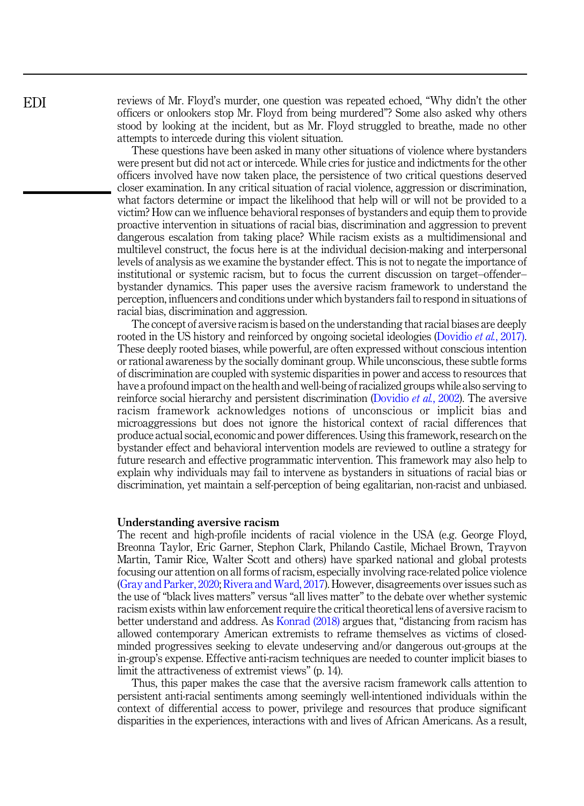reviews of Mr. Floyd's murder, one question was repeated echoed, "Why didn't the other officers or onlookers stop Mr. Floyd from being murdered"? Some also asked why others stood by looking at the incident, but as Mr. Floyd struggled to breathe, made no other attempts to intercede during this violent situation.

These questions have been asked in many other situations of violence where bystanders were present but did not act or intercede. While cries for justice and indictments for the other officers involved have now taken place, the persistence of two critical questions deserved closer examination. In any critical situation of racial violence, aggression or discrimination, what factors determine or impact the likelihood that help will or will not be provided to a victim? How can we influence behavioral responses of bystanders and equip them to provide proactive intervention in situations of racial bias, discrimination and aggression to prevent dangerous escalation from taking place? While racism exists as a multidimensional and multilevel construct, the focus here is at the individual decision-making and interpersonal levels of analysis as we examine the bystander effect. This is not to negate the importance of institutional or systemic racism, but to focus the current discussion on target–offender– bystander dynamics. This paper uses the aversive racism framework to understand the perception, influencers and conditions under which bystanders fail to respond in situations of racial bias, discrimination and aggression.

The concept of aversive racism is based on the understanding that racial biases are deeply rooted in the US history and reinforced by ongoing societal ideologies [\(Dovidio](#page-10-0) et al., 2017). These deeply rooted biases, while powerful, are often expressed without conscious intention or rational awareness by the socially dominant group. While unconscious, these subtle forms of discrimination are coupled with systemic disparities in power and access to resources that have a profound impact on the health and well-being of racialized groups while also serving to reinforce social hierarchy and persistent discrimination ([Dovidio](#page-10-0) *et al.*, 2002). The aversive racism framework acknowledges notions of unconscious or implicit bias and microaggressions but does not ignore the historical context of racial differences that produce actual social, economic and power differences. Using this framework, research on the bystander effect and behavioral intervention models are reviewed to outline a strategy for future research and effective programmatic intervention. This framework may also help to explain why individuals may fail to intervene as bystanders in situations of racial bias or discrimination, yet maintain a self-perception of being egalitarian, non-racist and unbiased.

## Understanding aversive racism

The recent and high-profile incidents of racial violence in the USA (e.g. George Floyd, Breonna Taylor, Eric Garner, Stephon Clark, Philando Castile, Michael Brown, Trayvon Martin, Tamir Rice, Walter Scott and others) have sparked national and global protests focusing our attention on all forms of racism, especially involving race-related police violence ([Gray and Parker, 2020](#page-10-0); [Rivera and Ward, 2017](#page-12-0)). However, disagreements over issues such as the use of "black lives matters" versus "all lives matter" to the debate over whether systemic racism exists within law enforcement require the critical theoretical lens of aversive racism to better understand and address. As [Konrad \(2018\)](#page-11-0) argues that, "distancing from racism has allowed contemporary American extremists to reframe themselves as victims of closedminded progressives seeking to elevate undeserving and/or dangerous out-groups at the in-group's expense. Effective anti-racism techniques are needed to counter implicit biases to limit the attractiveness of extremist views" (p. 14).

Thus, this paper makes the case that the aversive racism framework calls attention to persistent anti-racial sentiments among seemingly well-intentioned individuals within the context of differential access to power, privilege and resources that produce significant disparities in the experiences, interactions with and lives of African Americans. As a result,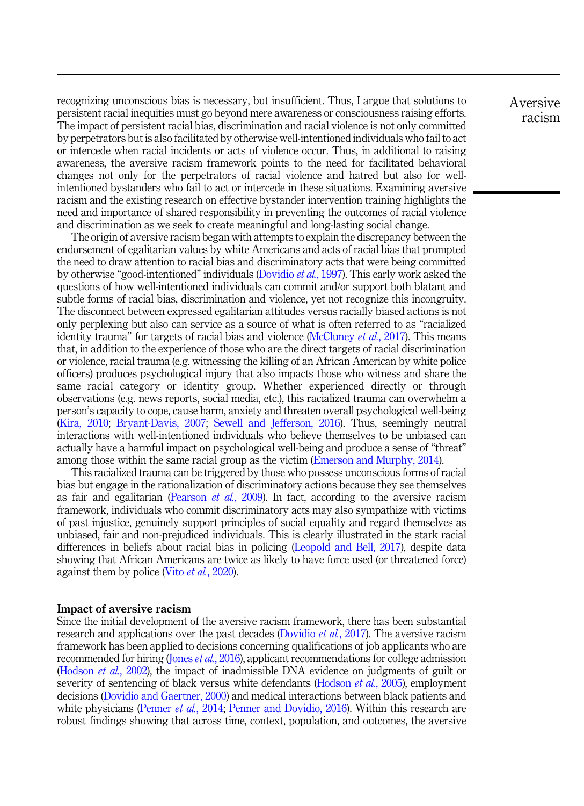recognizing unconscious bias is necessary, but insufficient. Thus, I argue that solutions to persistent racial inequities must go beyond mere awareness or consciousness raising efforts. The impact of persistent racial bias, discrimination and racial violence is not only committed by perpetrators but is also facilitated by otherwise well-intentioned individuals who fail to act or intercede when racial incidents or acts of violence occur. Thus, in additional to raising awareness, the aversive racism framework points to the need for facilitated behavioral changes not only for the perpetrators of racial violence and hatred but also for wellintentioned bystanders who fail to act or intercede in these situations. Examining aversive racism and the existing research on effective bystander intervention training highlights the need and importance of shared responsibility in preventing the outcomes of racial violence and discrimination as we seek to create meaningful and long-lasting social change.

The origin of aversive racism began with attempts to explain the discrepancy between the endorsement of egalitarian values by white Americans and acts of racial bias that prompted the need to draw attention to racial bias and discriminatory acts that were being committed by otherwise "good-intentioned" individuals ([Dovidio](#page-10-0) et al., 1997). This early work asked the questions of how well-intentioned individuals can commit and/or support both blatant and subtle forms of racial bias, discrimination and violence, yet not recognize this incongruity. The disconnect between expressed egalitarian attitudes versus racially biased actions is not only perplexing but also can service as a source of what is often referred to as "racialized identity trauma" for targets of racial bias and violence ([McCluney](#page-11-0) *et al.*, 2017). This means that, in addition to the experience of those who are the direct targets of racial discrimination or violence, racial trauma (e.g. witnessing the killing of an African American by white police officers) produces psychological injury that also impacts those who witness and share the same racial category or identity group. Whether experienced directly or through observations (e.g. news reports, social media, etc.), this racialized trauma can overwhelm a person's capacity to cope, cause harm, anxiety and threaten overall psychological well-being ([Kira, 2010;](#page-11-0) [Bryant-Davis, 2007;](#page-9-0) [Sewell and Jefferson, 2016](#page-12-0)). Thus, seemingly neutral interactions with well-intentioned individuals who believe themselves to be unbiased can actually have a harmful impact on psychological well-being and produce a sense of "threat" among those within the same racial group as the victim ([Emerson and Murphy, 2014\)](#page-10-0).

This racialized trauma can be triggered by those who possess unconscious forms of racial bias but engage in the rationalization of discriminatory actions because they see themselves as fair and egalitarian [\(Pearson](#page-12-0) *et al.*, 2009). In fact, according to the aversive racism framework, individuals who commit discriminatory acts may also sympathize with victims of past injustice, genuinely support principles of social equality and regard themselves as unbiased, fair and non-prejudiced individuals. This is clearly illustrated in the stark racial differences in beliefs about racial bias in policing ([Leopold and Bell, 2017\)](#page-11-0), despite data showing that African Americans are twice as likely to have force used (or threatened force) against them by police (Vito *et al.*[, 2020](#page-13-0)).

## Impact of aversive racism

Since the initial development of the aversive racism framework, there has been substantial research and applications over the past decades ([Dovidio](#page-10-0) *et al.*, 2017). The aversive racism framework has been applied to decisions concerning qualifications of job applicants who are recommended for hiring (Jones *et al.*[, 2016\)](#page-11-0), applicant recommendations for college admission ([Hodson](#page-10-0) et al., 2002), the impact of inadmissible DNA evidence on judgments of guilt or severity of sentencing of black versus white defendants ([Hodson](#page-10-0) *et al.*, 2005), employment decisions ([Dovidio and Gaertner, 2000](#page-9-0)) and medical interactions between black patients and white physicians [\(Penner](#page-12-0) *et al.*, 2014; [Penner and Dovidio, 2016](#page-12-0)). Within this research are robust findings showing that across time, context, population, and outcomes, the aversive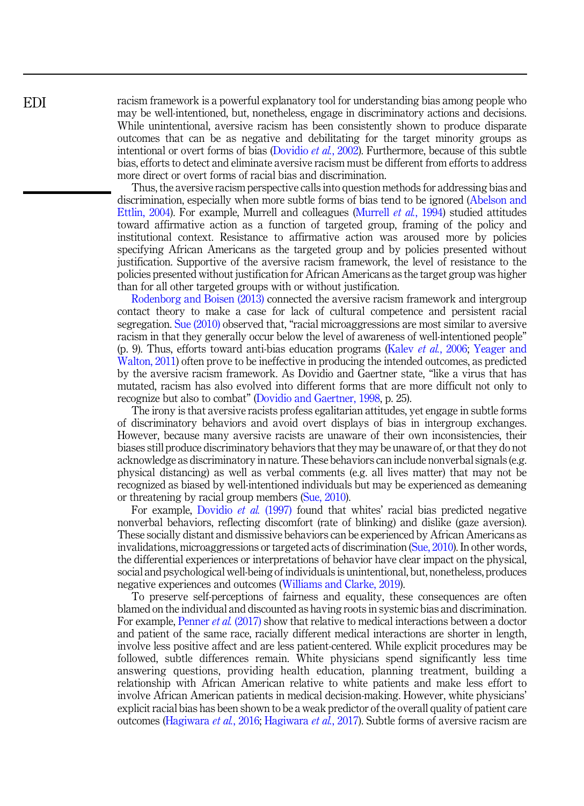racism framework is a powerful explanatory tool for understanding bias among people who may be well-intentioned, but, nonetheless, engage in discriminatory actions and decisions. While unintentional, aversive racism has been consistently shown to produce disparate outcomes that can be as negative and debilitating for the target minority groups as intentional or overt forms of bias ([Dovidio](#page-10-0) et al., 2002). Furthermore, because of this subtle bias, efforts to detect and eliminate aversive racism must be different from efforts to address more direct or overt forms of racial bias and discrimination.

Thus, the aversive racism perspective calls into question methods for addressing bias and discrimination, especially when more subtle forms of bias tend to be ignored ([Abelson and](#page-9-0) [Ettlin, 2004\)](#page-9-0). For example, Murrell and colleagues ([Murrell](#page-11-0) et al., 1994) studied attitudes toward affirmative action as a function of targeted group, framing of the policy and institutional context. Resistance to affirmative action was aroused more by policies specifying African Americans as the targeted group and by policies presented without justification. Supportive of the aversive racism framework, the level of resistance to the policies presented without justification for African Americans as the target group was higher than for all other targeted groups with or without justification.

[Rodenborg and Boisen \(2013\)](#page-12-0) connected the aversive racism framework and intergroup contact theory to make a case for lack of cultural competence and persistent racial segregation. [Sue \(2010\)](#page-12-0) observed that, "racial microaggressions are most similar to aversive racism in that they generally occur below the level of awareness of well-intentioned people" (p. 9). Thus, efforts toward anti-bias education programs (Kalev et al.[, 2006;](#page-11-0) [Yeager and](#page-13-0) [Walton, 2011\)](#page-13-0) often prove to be ineffective in producing the intended outcomes, as predicted by the aversive racism framework. As Dovidio and Gaertner state, "like a virus that has mutated, racism has also evolved into different forms that are more difficult not only to recognize but also to combat" ([Dovidio and Gaertner, 1998](#page-9-0), p. 25).

The irony is that aversive racists profess egalitarian attitudes, yet engage in subtle forms of discriminatory behaviors and avoid overt displays of bias in intergroup exchanges. However, because many aversive racists are unaware of their own inconsistencies, their biases still produce discriminatory behaviors that they may be unaware of, or that they do not acknowledge as discriminatory in nature. These behaviors can include nonverbal signals (e.g. physical distancing) as well as verbal comments (e.g. all lives matter) that may not be recognized as biased by well-intentioned individuals but may be experienced as demeaning or threatening by racial group members [\(Sue, 2010](#page-12-0)).

For example, [Dovidio](#page-10-0) *et al.* (1997) found that whites' racial bias predicted negative nonverbal behaviors, reflecting discomfort (rate of blinking) and dislike (gaze aversion). These socially distant and dismissive behaviors can be experienced by African Americans as invalidations, microaggressions or targeted acts of discrimination ([Sue, 2010\)](#page-12-0). In other words, the differential experiences or interpretations of behavior have clear impact on the physical, social and psychological well-being of individuals is unintentional, but, nonetheless, produces negative experiences and outcomes [\(Williams and Clarke, 2019](#page-13-0)).

To preserve self-perceptions of fairness and equality, these consequences are often blamed on the individual and discounted as having roots in systemic bias and discrimination. For example, [Penner](#page-12-0) *et al.* (2017) show that relative to medical interactions between a doctor and patient of the same race, racially different medical interactions are shorter in length, involve less positive affect and are less patient-centered. While explicit procedures may be followed, subtle differences remain. White physicians spend significantly less time answering questions, providing health education, planning treatment, building a relationship with African American relative to white patients and make less effort to involve African American patients in medical decision-making. However, white physicians' explicit racial bias has been shown to be a weak predictor of the overall quality of patient care outcomes ([Hagiwara](#page-10-0) et al., 2016; [Hagiwara](#page-10-0) et al., 2017). Subtle forms of aversive racism are

EDI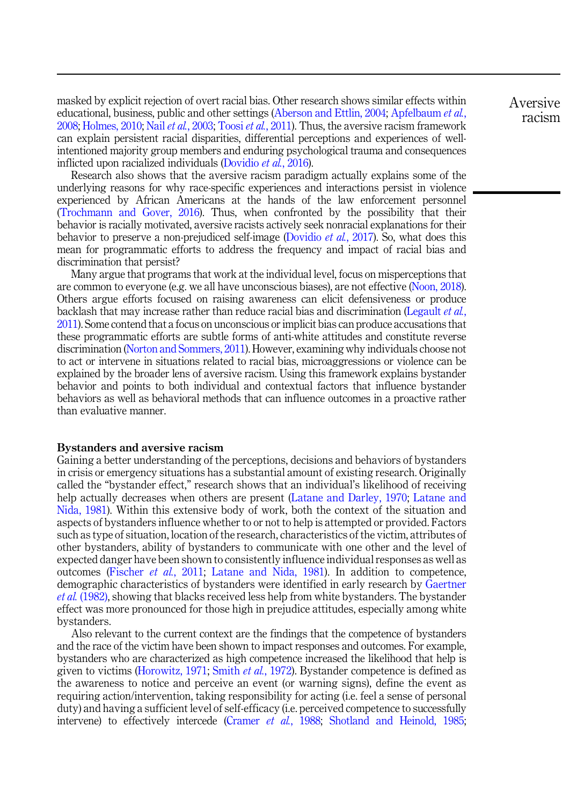masked by explicit rejection of overt racial bias. Other research shows similar effects within educational, business, public and other settings ([Aberson and Ettlin, 2004](#page-9-0); [Apfelbaum](#page-9-0) et al., [2008;](#page-9-0) [Holmes, 2010;](#page-10-0) Nail et al.[, 2003](#page-11-0); [Toosi](#page-12-0) et al., 2011). Thus, the aversive racism framework can explain persistent racial disparities, differential perceptions and experiences of wellintentioned majority group members and enduring psychological trauma and consequences inflicted upon racialized individuals ([Dovidio](#page-10-0) et al., 2016).

Research also shows that the aversive racism paradigm actually explains some of the underlying reasons for why race-specific experiences and interactions persist in violence experienced by African Americans at the hands of the law enforcement personnel ([Trochmann and Gover, 2016\)](#page-12-0). Thus, when confronted by the possibility that their behavior is racially motivated, aversive racists actively seek nonracial explanations for their behavior to preserve a non-prejudiced self-image ([Dovidio](#page-10-0) *et al.*, 2017). So, what does this mean for programmatic efforts to address the frequency and impact of racial bias and discrimination that persist?

Many argue that programs that work at the individual level, focus on misperceptions that are common to everyone (e.g. we all have unconscious biases), are not effective ([Noon, 2018\)](#page-11-0). Others argue efforts focused on raising awareness can elicit defensiveness or produce backlash that may increase rather than reduce racial bias and discrimination ([Legault](#page-11-0) *et al.*, [2011\)](#page-11-0). Some contend that a focus on unconscious or implicit bias can produce accusations that these programmatic efforts are subtle forms of anti-white attitudes and constitute reverse discrimination ([Norton and Sommers, 2011](#page-11-0)). However, examining why individuals choose not to act or intervene in situations related to racial bias, microaggressions or violence can be explained by the broader lens of aversive racism. Using this framework explains bystander behavior and points to both individual and contextual factors that influence bystander behaviors as well as behavioral methods that can influence outcomes in a proactive rather than evaluative manner.

#### Bystanders and aversive racism

Gaining a better understanding of the perceptions, decisions and behaviors of bystanders in crisis or emergency situations has a substantial amount of existing research. Originally called the "bystander effect," research shows that an individual's likelihood of receiving help actually decreases when others are present ([Latane and Darley, 1970](#page-11-0); [Latane and](#page-11-0) [Nida, 1981](#page-11-0)). Within this extensive body of work, both the context of the situation and aspects of bystanders influence whether to or not to help is attempted or provided. Factors such as type of situation, location of the research, characteristics of the victim, attributes of other bystanders, ability of bystanders to communicate with one other and the level of expected danger have been shown to consistently influence individual responses as well as outcomes ([Fischer](#page-10-0) et al., 2011; [Latane and Nida, 1981](#page-11-0)). In addition to competence, demographic characteristics of bystanders were identified in early research by [Gaertner](#page-10-0) et al. [\(1982\),](#page-10-0) showing that blacks received less help from white bystanders. The bystander effect was more pronounced for those high in prejudice attitudes, especially among white bystanders.

Also relevant to the current context are the findings that the competence of bystanders and the race of the victim have been shown to impact responses and outcomes. For example, bystanders who are characterized as high competence increased the likelihood that help is given to victims ([Horowitz, 1971](#page-10-0); [Smith](#page-12-0) et al., 1972). Bystander competence is defined as the awareness to notice and perceive an event (or warning signs), define the event as requiring action/intervention, taking responsibility for acting (i.e. feel a sense of personal duty) and having a sufficient level of self-efficacy (i.e. perceived competence to successfully intervene) to effectively intercede ([Cramer](#page-9-0) et al., 1988; [Shotland and Heinold, 1985](#page-12-0);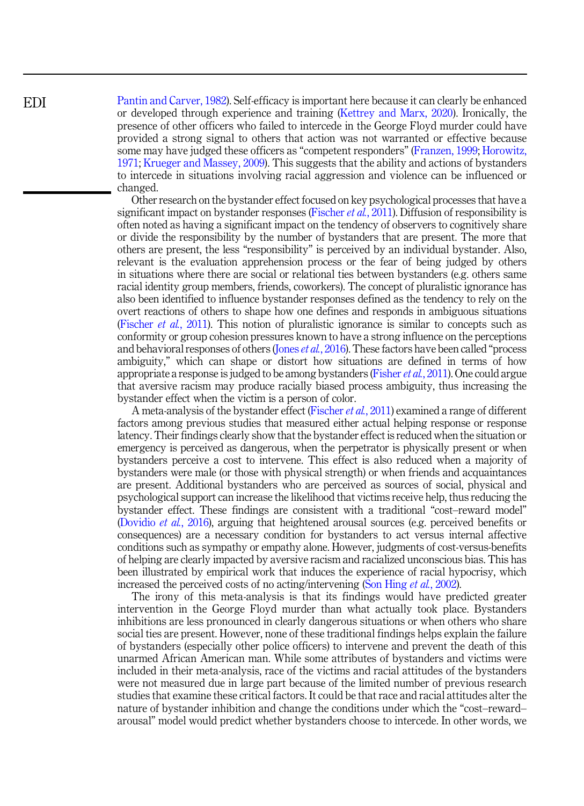[Pantin and Carver, 1982](#page-12-0)). Self-efficacy is important here because it can clearly be enhanced or developed through experience and training ([Kettrey and Marx, 2020\)](#page-11-0). Ironically, the presence of other officers who failed to intercede in the George Floyd murder could have provided a strong signal to others that action was not warranted or effective because some may have judged these officers as "competent responders" ([Franzen, 1999;](#page-10-0) [Horowitz,](#page-10-0) [1971](#page-10-0); [Krueger and Massey, 2009\)](#page-11-0). This suggests that the ability and actions of bystanders to intercede in situations involving racial aggression and violence can be influenced or changed.

Other research on the bystander effect focused on key psychological processes that have a significant impact on bystander responses [\(Fischer](#page-10-0) *et al.*, 2011). Diffusion of responsibility is often noted as having a significant impact on the tendency of observers to cognitively share or divide the responsibility by the number of bystanders that are present. The more that others are present, the less "responsibility" is perceived by an individual bystander. Also, relevant is the evaluation apprehension process or the fear of being judged by others in situations where there are social or relational ties between bystanders (e.g. others same racial identity group members, friends, coworkers). The concept of pluralistic ignorance has also been identified to influence bystander responses defined as the tendency to rely on the overt reactions of others to shape how one defines and responds in ambiguous situations ([Fischer](#page-10-0) et al., 2011). This notion of pluralistic ignorance is similar to concepts such as conformity or group cohesion pressures known to have a strong influence on the perceptions and behavioral responses of others (Jones *et al.*[, 2016](#page-11-0)). These factors have been called "process ambiguity," which can shape or distort how situations are defined in terms of how appropriate a response is judged to be among by standers [\(Fisher](#page-10-0) *et al.*, 2011). One could argue that aversive racism may produce racially biased process ambiguity, thus increasing the bystander effect when the victim is a person of color.

A meta-analysis of the bystander effect [\(Fischer](#page-10-0) et al., 2011) examined a range of different factors among previous studies that measured either actual helping response or response latency. Their findings clearly show that the bystander effect is reduced when the situation or emergency is perceived as dangerous, when the perpetrator is physically present or when bystanders perceive a cost to intervene. This effect is also reduced when a majority of bystanders were male (or those with physical strength) or when friends and acquaintances are present. Additional bystanders who are perceived as sources of social, physical and psychological support can increase the likelihood that victims receive help, thus reducing the bystander effect. These findings are consistent with a traditional "cost–reward model" ([Dovidio](#page-10-0) et al., 2016), arguing that heightened arousal sources (e.g. perceived benefits or consequences) are a necessary condition for bystanders to act versus internal affective conditions such as sympathy or empathy alone. However, judgments of cost-versus-benefits of helping are clearly impacted by aversive racism and racialized unconscious bias. This has been illustrated by empirical work that induces the experience of racial hypocrisy, which increased the perceived costs of no acting/intervening ([Son Hing](#page-12-0) *et al.*, 2002).

The irony of this meta-analysis is that its findings would have predicted greater intervention in the George Floyd murder than what actually took place. Bystanders inhibitions are less pronounced in clearly dangerous situations or when others who share social ties are present. However, none of these traditional findings helps explain the failure of bystanders (especially other police officers) to intervene and prevent the death of this unarmed African American man. While some attributes of bystanders and victims were included in their meta-analysis, race of the victims and racial attitudes of the bystanders were not measured due in large part because of the limited number of previous research studies that examine these critical factors. It could be that race and racial attitudes alter the nature of bystander inhibition and change the conditions under which the "cost–reward– arousal" model would predict whether bystanders choose to intercede. In other words, we

EDI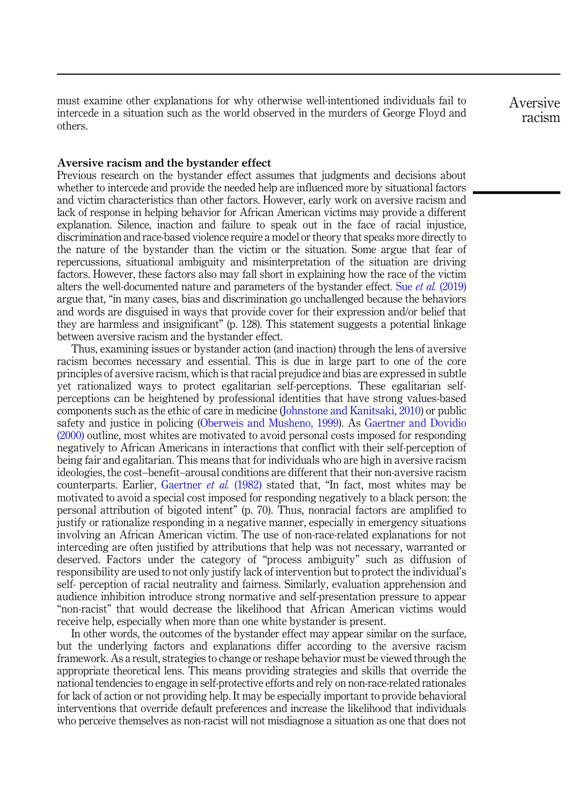must examine other explanations for why otherwise well-intentioned individuals fail to intercede in a situation such as the world observed in the murders of George Floyd and others.

# Aversive racism and the bystander effect

Previous research on the bystander effect assumes that judgments and decisions about whether to intercede and provide the needed help are influenced more by situational factors and victim characteristics than other factors. However, early work on aversive racism and lack of response in helping behavior for African American victims may provide a different explanation. Silence, inaction and failure to speak out in the face of racial injustice, discrimination and race-based violence require a model or theory that speaks more directly to the nature of the bystander than the victim or the situation. Some argue that fear of repercussions, situational ambiguity and misinterpretation of the situation are driving factors. However, these factors also may fall short in explaining how the race of the victim alters the well-documented nature and parameters of the bystander effect. Sue et al. [\(2019\)](#page-12-0) argue that, "in many cases, bias and discrimination go unchallenged because the behaviors and words are disguised in ways that provide cover for their expression and/or belief that they are harmless and insignificant" (p. 128). This statement suggests a potential linkage between aversive racism and the bystander effect.

Thus, examining issues or bystander action (and inaction) through the lens of aversive racism becomes necessary and essential. This is due in large part to one of the core principles of aversive racism, which is that racial prejudice and bias are expressed in subtle yet rationalized ways to protect egalitarian self-perceptions. These egalitarian selfperceptions can be heightened by professional identities that have strong values-based components such as the ethic of care in medicine ([Johnstone and Kanitsaki, 2010](#page-10-0)) or public safety and justice in policing [\(Oberweis and Musheno, 1999](#page-11-0)). As [Gaertner and Dovidio](#page-10-0) [\(2000\)](#page-10-0) outline, most whites are motivated to avoid personal costs imposed for responding negatively to African Americans in interactions that conflict with their self-perception of being fair and egalitarian. This means that for individuals who are high in aversive racism ideologies, the cost–benefit–arousal conditions are different that their non-aversive racism counterparts. Earlier, [Gaertner](#page-10-0) et al. (1982) stated that, "In fact, most whites may be motivated to avoid a special cost imposed for responding negatively to a black person: the personal attribution of bigoted intent" (p. 70). Thus, nonracial factors are amplified to justify or rationalize responding in a negative manner, especially in emergency situations involving an African American victim. The use of non-race-related explanations for not interceding are often justified by attributions that help was not necessary, warranted or deserved. Factors under the category of "process ambiguity" such as diffusion of responsibility are used to not only justify lack of intervention but to protect the individual's self- perception of racial neutrality and fairness. Similarly, evaluation apprehension and audience inhibition introduce strong normative and self-presentation pressure to appear "non-racist" that would decrease the likelihood that African American victims would receive help, especially when more than one white bystander is present.

In other words, the outcomes of the bystander effect may appear similar on the surface, but the underlying factors and explanations differ according to the aversive racism framework. As a result, strategies to change or reshape behavior must be viewed through the appropriate theoretical lens. This means providing strategies and skills that override the national tendencies to engage in self-protective efforts and rely on non-race-related rationales for lack of action or not providing help. It may be especially important to provide behavioral interventions that override default preferences and increase the likelihood that individuals who perceive themselves as non-racist will not misdiagnose a situation as one that does not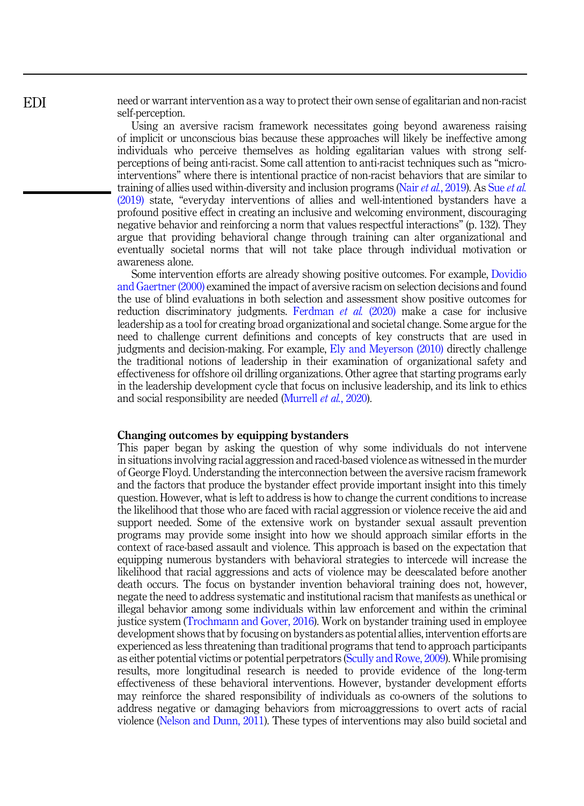need or warrant intervention as a way to protect their own sense of egalitarian and non-racist self-perception.

Using an aversive racism framework necessitates going beyond awareness raising of implicit or unconscious bias because these approaches will likely be ineffective among individuals who perceive themselves as holding egalitarian values with strong selfperceptions of being anti-racist. Some call attention to anti-racist techniques such as "microinterventions" where there is intentional practice of non-racist behaviors that are similar to training of allies used within-diversity and inclusion programs (Nair et al.[, 2019\)](#page-11-0). As Sue [et al.](#page-12-0) [\(2019\)](#page-12-0) state, "everyday interventions of allies and well-intentioned bystanders have a profound positive effect in creating an inclusive and welcoming environment, discouraging negative behavior and reinforcing a norm that values respectful interactions" (p. 132). They argue that providing behavioral change through training can alter organizational and eventually societal norms that will not take place through individual motivation or awareness alone.

Some intervention efforts are already showing positive outcomes. For example, [Dovidio](#page-9-0) [and Gaertner \(2000\)](#page-9-0) examined the impact of aversive racism on selection decisions and found the use of blind evaluations in both selection and assessment show positive outcomes for reduction discriminatory judgments. [Ferdman](#page-10-0) *et al.*  $(2020)$  make a case for inclusive leadership as a tool for creating broad organizational and societal change. Some argue for the need to challenge current definitions and concepts of key constructs that are used in judgments and decision-making. For example, [Ely and Meyerson \(2010\)](#page-10-0) directly challenge the traditional notions of leadership in their examination of organizational safety and effectiveness for offshore oil drilling organizations. Other agree that starting programs early in the leadership development cycle that focus on inclusive leadership, and its link to ethics and social responsibility are needed ([Murrell](#page-11-0) et al., 2020).

## Changing outcomes by equipping bystanders

This paper began by asking the question of why some individuals do not intervene in situations involving racial aggression and raced-based violence as witnessed in the murder of George Floyd. Understanding the interconnection between the aversive racism framework and the factors that produce the bystander effect provide important insight into this timely question. However, what is left to address is how to change the current conditions to increase the likelihood that those who are faced with racial aggression or violence receive the aid and support needed. Some of the extensive work on bystander sexual assault prevention programs may provide some insight into how we should approach similar efforts in the context of race-based assault and violence. This approach is based on the expectation that equipping numerous bystanders with behavioral strategies to intercede will increase the likelihood that racial aggressions and acts of violence may be deescalated before another death occurs. The focus on bystander invention behavioral training does not, however, negate the need to address systematic and institutional racism that manifests as unethical or illegal behavior among some individuals within law enforcement and within the criminal justice system [\(Trochmann and Gover, 2016](#page-12-0)). Work on bystander training used in employee development shows that by focusing on bystanders as potential allies, intervention efforts are experienced as less threatening than traditional programs that tend to approach participants as either potential victims or potential perpetrators ([Scully and Rowe, 2009](#page-12-0)). While promising results, more longitudinal research is needed to provide evidence of the long-term effectiveness of these behavioral interventions. However, bystander development efforts may reinforce the shared responsibility of individuals as co-owners of the solutions to address negative or damaging behaviors from microaggressions to overt acts of racial violence ([Nelson and Dunn, 2011](#page-11-0)). These types of interventions may also build societal and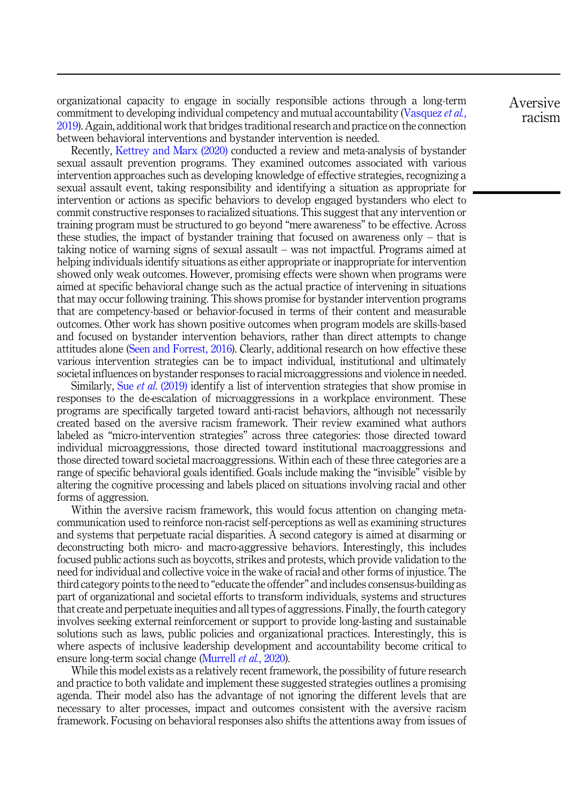organizational capacity to engage in socially responsible actions through a long-term commitment to developing individual competency and mutual accountability [\(Vasquez](#page-12-0) et al., [2019\)](#page-12-0). Again, additional work that bridges traditional research and practice on the connection between behavioral interventions and bystander intervention is needed.

Recently, [Kettrey and Marx \(2020\)](#page-11-0) conducted a review and meta-analysis of bystander sexual assault prevention programs. They examined outcomes associated with various intervention approaches such as developing knowledge of effective strategies, recognizing a sexual assault event, taking responsibility and identifying a situation as appropriate for intervention or actions as specific behaviors to develop engaged bystanders who elect to commit constructive responses to racialized situations. This suggest that any intervention or training program must be structured to go beyond "mere awareness" to be effective. Across these studies, the impact of bystander training that focused on awareness only – that is taking notice of warning signs of sexual assault – was not impactful. Programs aimed at helping individuals identify situations as either appropriate or inappropriate for intervention showed only weak outcomes. However, promising effects were shown when programs were aimed at specific behavioral change such as the actual practice of intervening in situations that may occur following training. This shows promise for bystander intervention programs that are competency-based or behavior-focused in terms of their content and measurable outcomes. Other work has shown positive outcomes when program models are skills-based and focused on bystander intervention behaviors, rather than direct attempts to change attitudes alone [\(Seen and Forrest, 2016\)](#page-12-0). Clearly, additional research on how effective these various intervention strategies can be to impact individual, institutional and ultimately societal influences on bystander responses to racial microaggressions and violence in needed.

Similarly, Sue et al[. \(2019\)](#page-12-0) identify a list of intervention strategies that show promise in responses to the de-escalation of microaggressions in a workplace environment. These programs are specifically targeted toward anti-racist behaviors, although not necessarily created based on the aversive racism framework. Their review examined what authors labeled as "micro-intervention strategies" across three categories: those directed toward individual microaggressions, those directed toward institutional macroaggressions and those directed toward societal macroaggressions. Within each of these three categories are a range of specific behavioral goals identified. Goals include making the "invisible" visible by altering the cognitive processing and labels placed on situations involving racial and other forms of aggression.

Within the aversive racism framework, this would focus attention on changing metacommunication used to reinforce non-racist self-perceptions as well as examining structures and systems that perpetuate racial disparities. A second category is aimed at disarming or deconstructing both micro- and macro-aggressive behaviors. Interestingly, this includes focused public actions such as boycotts, strikes and protests, which provide validation to the need for individual and collective voice in the wake of racial and other forms of injustice. The third category points to the need to "educate the offender" and includes consensus-building as part of organizational and societal efforts to transform individuals, systems and structures that create and perpetuate inequities and all types of aggressions. Finally, the fourth category involves seeking external reinforcement or support to provide long-lasting and sustainable solutions such as laws, public policies and organizational practices. Interestingly, this is where aspects of inclusive leadership development and accountability become critical to ensure long-term social change ([Murrell](#page-11-0) *et al.*, 2020).

While this model exists as a relatively recent framework, the possibility of future research and practice to both validate and implement these suggested strategies outlines a promising agenda. Their model also has the advantage of not ignoring the different levels that are necessary to alter processes, impact and outcomes consistent with the aversive racism framework. Focusing on behavioral responses also shifts the attentions away from issues of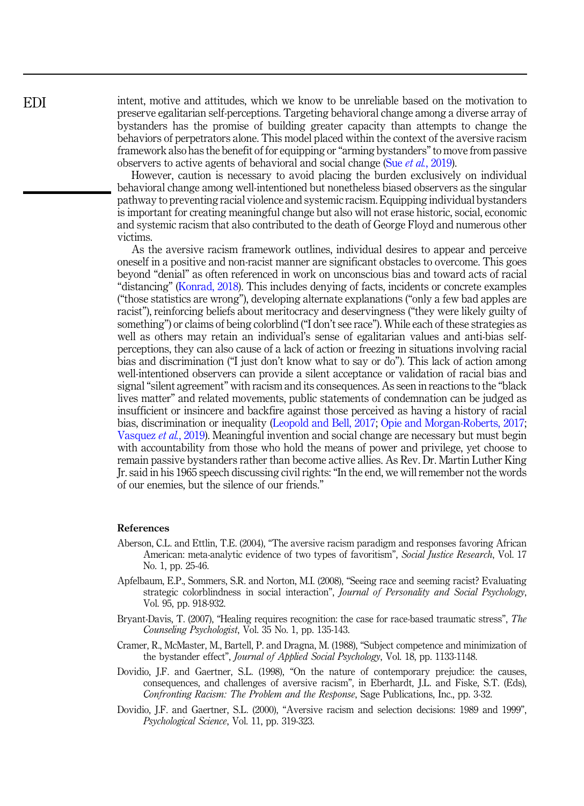<span id="page-9-0"></span>intent, motive and attitudes, which we know to be unreliable based on the motivation to preserve egalitarian self-perceptions. Targeting behavioral change among a diverse array of bystanders has the promise of building greater capacity than attempts to change the behaviors of perpetrators alone. This model placed within the context of the aversive racism framework also has the benefit of for equipping or "arming bystanders" to move from passive observers to active agents of behavioral and social change (Sue *et al.*[, 2019\)](#page-12-0).

However, caution is necessary to avoid placing the burden exclusively on individual behavioral change among well-intentioned but nonetheless biased observers as the singular pathway to preventing racial violence and systemic racism. Equipping individual bystanders is important for creating meaningful change but also will not erase historic, social, economic and systemic racism that also contributed to the death of George Floyd and numerous other victims.

As the aversive racism framework outlines, individual desires to appear and perceive oneself in a positive and non-racist manner are significant obstacles to overcome. This goes beyond "denial" as often referenced in work on unconscious bias and toward acts of racial "distancing" ([Konrad, 2018](#page-11-0)). This includes denying of facts, incidents or concrete examples ("those statistics are wrong"), developing alternate explanations ("only a few bad apples are racist"), reinforcing beliefs about meritocracy and deservingness ("they were likely guilty of something") or claims of being colorblind ("I don't see race"). While each of these strategies as well as others may retain an individual's sense of egalitarian values and anti-bias selfperceptions, they can also cause of a lack of action or freezing in situations involving racial bias and discrimination ("I just don't know what to say or do"). This lack of action among well-intentioned observers can provide a silent acceptance or validation of racial bias and signal"silent agreement" with racism and its consequences. As seen in reactions to the "black lives matter" and related movements, public statements of condemnation can be judged as insufficient or insincere and backfire against those perceived as having a history of racial bias, discrimination or inequality [\(Leopold and Bell, 2017](#page-11-0); [Opie and Morgan-Roberts, 2017](#page-12-0); [Vasquez](#page-12-0) et al., 2019). Meaningful invention and social change are necessary but must begin with accountability from those who hold the means of power and privilege, yet choose to remain passive bystanders rather than become active allies. As Rev. Dr. Martin Luther King Jr. said in his 1965 speech discussing civil rights: "In the end, we will remember not the words of our enemies, but the silence of our friends."

## References

- Aberson, C.L. and Ettlin, T.E. (2004), "The aversive racism paradigm and responses favoring African American: meta-analytic evidence of two types of favoritism", Social Justice Research, Vol. 17 No. 1, pp. 25-46.
- Apfelbaum, E.P., Sommers, S.R. and Norton, M.I. (2008), "Seeing race and seeming racist? Evaluating strategic colorblindness in social interaction", Journal of Personality and Social Psychology, Vol. 95, pp. 918-932.
- Bryant-Davis, T. (2007), "Healing requires recognition: the case for race-based traumatic stress", The Counseling Psychologist, Vol. 35 No. 1, pp. 135-143.
- Cramer, R., McMaster, M., Bartell, P. and Dragna, M. (1988), "Subject competence and minimization of the bystander effect", Journal of Applied Social Psychology, Vol. 18, pp. 1133-1148.
- Dovidio, J.F. and Gaertner, S.L. (1998), "On the nature of contemporary prejudice: the causes, consequences, and challenges of aversive racism", in Eberhardt, J.L. and Fiske, S.T. (Eds), Confronting Racism: The Problem and the Response, Sage Publications, Inc., pp. 3-32.
- Dovidio, J.F. and Gaertner, S.L. (2000), "Aversive racism and selection decisions: 1989 and 1999", Psychological Science, Vol. 11, pp. 319-323.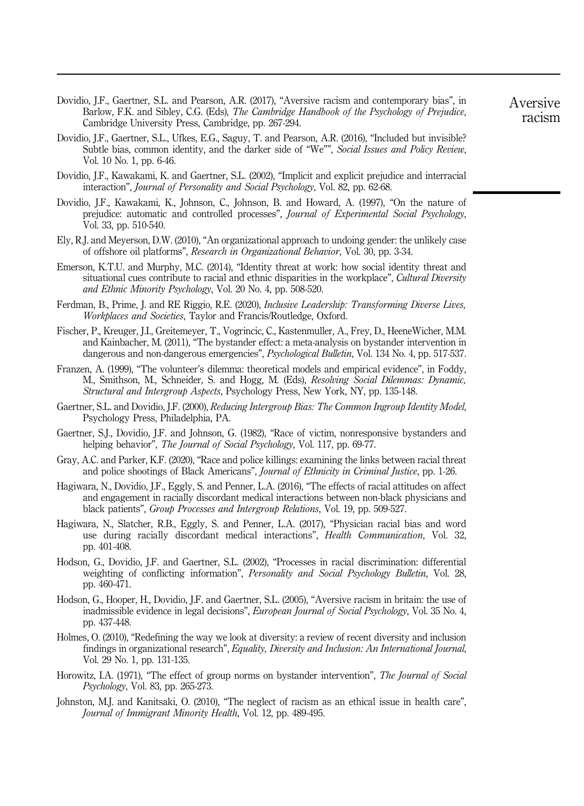- <span id="page-10-0"></span>Dovidio, J.F., Gaertner, S.L. and Pearson, A.R. (2017), "Aversive racism and contemporary bias", in Barlow, F.K. and Sibley, C.G. (Eds), *The Cambridge Handbook of the Psychology of Prejudice*, Cambridge University Press, Cambridge, pp. 267-294.
- Dovidio, J.F., Gaertner, S.L., Ufkes, E.G., Saguy, T. and Pearson, A.R. (2016), "Included but invisible? Subtle bias, common identity, and the darker side of "We"", Social Issues and Policy Review, Vol. 10 No. 1, pp. 6-46.
- Dovidio, J.F., Kawakami, K. and Gaertner, S.L. (2002), "Implicit and explicit prejudice and interracial interaction", Journal of Personality and Social Psychology, Vol. 82, pp. 62-68.
- Dovidio, J.F., Kawakami, K., Johnson, C., Johnson, B. and Howard, A. (1997), "On the nature of prejudice: automatic and controlled processes", Journal of Experimental Social Psychology, Vol. 33, pp. 510-540.
- Ely, R.J. and Meyerson, D.W. (2010), "An organizational approach to undoing gender: the unlikely case of offshore oil platforms", Research in Organizational Behavior, Vol. 30, pp. 3-34.
- Emerson, K.T.U. and Murphy, M.C. (2014), "Identity threat at work: how social identity threat and situational cues contribute to racial and ethnic disparities in the workplace", Cultural Diversity and Ethnic Minority Psychology, Vol. 20 No. 4, pp. 508-520.
- Ferdman, B., Prime, J. and RE Riggio, R.E. (2020), Inclusive Leadership: Transforming Diverse Lives, Workplaces and Societies, Taylor and Francis/Routledge, Oxford.
- Fischer, P., Kreuger, J.I., Greitemeyer, T., Vogrincic, C., Kastenmuller, A., Frey, D., HeeneWicher, M.M. and Kainbacher, M. (2011), "The bystander effect: a meta-analysis on bystander intervention in dangerous and non-dangerous emergencies", Psychological Bulletin, Vol. 134 No. 4, pp. 517-537.
- Franzen, A. (1999), "The volunteer's dilemma: theoretical models and empirical evidence", in Foddy, M., Smithson, M., Schneider, S. and Hogg, M. (Eds), Resolving Social Dilemmas: Dynamic, Structural and Intergroup Aspects, Psychology Press, New York, NY, pp. 135-148.
- Gaertner, S.L. and Dovidio, J.F. (2000), Reducing Intergroup Bias: The Common Ingroup Identity Model, Psychology Press, Philadelphia, PA.
- Gaertner, S.J., Dovidio, J.F. and Johnson, G. (1982), "Race of victim, nonresponsive bystanders and helping behavior", *The Journal of Social Psychology*, Vol. 117, pp. 69-77.
- Gray, A.C. and Parker, K.F. (2020), "Race and police killings: examining the links between racial threat and police shootings of Black Americans", Journal of Ethnicity in Criminal Justice, pp. 1-26.
- Hagiwara, N., Dovidio, J.F., Eggly, S. and Penner, L.A. (2016), "The effects of racial attitudes on affect and engagement in racially discordant medical interactions between non-black physicians and black patients", Group Processes and Intergroup Relations, Vol. 19, pp. 509-527.
- Hagiwara, N., Slatcher, R.B., Eggly, S. and Penner, L.A. (2017), "Physician racial bias and word use during racially discordant medical interactions", Health Communication, Vol. 32, pp. 401-408.
- Hodson, G., Dovidio, J.F. and Gaertner, S.L. (2002), "Processes in racial discrimination: differential weighting of conflicting information", Personality and Social Psychology Bulletin, Vol. 28, pp. 460-471.
- Hodson, G., Hooper, H., Dovidio, J.F. and Gaertner, S.L. (2005), "Aversive racism in britain: the use of inadmissible evidence in legal decisions", European Journal of Social Psychology, Vol. 35 No. 4, pp. 437-448.
- Holmes, O. (2010), "Redefining the way we look at diversity: a review of recent diversity and inclusion findings in organizational research", Equality, Diversity and Inclusion: An International Journal, Vol. 29 No. 1, pp. 131-135.
- Horowitz, I.A. (1971), "The effect of group norms on bystander intervention", The Journal of Social Psychology, Vol. 83, pp. 265-273.
- Johnston, M.J. and Kanitsaki, O. (2010), "The neglect of racism as an ethical issue in health care", Journal of Immigrant Minority Health, Vol. 12, pp. 489-495.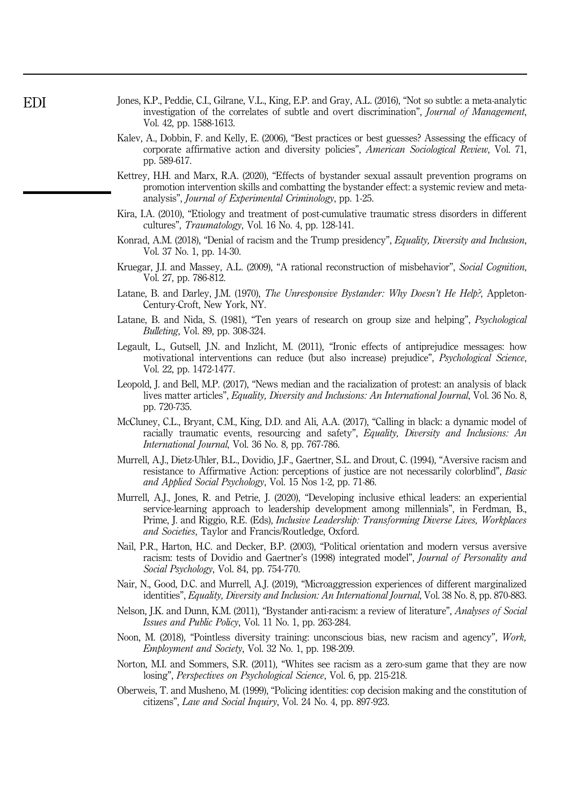- <span id="page-11-0"></span>Jones, K.P., Peddie, C.I., Gilrane, V.L., King, E.P. and Gray, A.L. (2016), "Not so subtle: a meta-analytic investigation of the correlates of subtle and overt discrimination", *Journal of Management*, Vol. 42, pp. 1588-1613.
- Kalev, A., Dobbin, F. and Kelly, E. (2006), "Best practices or best guesses? Assessing the efficacy of corporate affirmative action and diversity policies", American Sociological Review, Vol. 71, pp. 589-617.
- Kettrey, H.H. and Marx, R.A. (2020), "Effects of bystander sexual assault prevention programs on promotion intervention skills and combatting the bystander effect: a systemic review and metaanalysis", Journal of Experimental Criminology, pp. 1-25.
- Kira, I.A. (2010), "Etiology and treatment of post-cumulative traumatic stress disorders in different cultures", Traumatology, Vol. 16 No. 4, pp. 128-141.
- Konrad, A.M. (2018), "Denial of racism and the Trump presidency", *Equality, Diversity and Inclusion*, Vol. 37 No. 1, pp. 14-30.
- Kruegar, J.I. and Massey, A.L. (2009), "A rational reconstruction of misbehavior", Social Cognition, Vol. 27, pp. 786-812.
- Latane, B. and Darley, J.M. (1970), *The Unresponsive Bystander: Why Doesn't He Help?*, Appleton-Century-Croft, New York, NY.
- Latane, B. and Nida, S. (1981), "Ten years of research on group size and helping", *Psychological* Bulleting, Vol. 89, pp. 308-324.
- Legault, L., Gutsell, J.N. and Inzlicht, M. (2011), "Ironic effects of antiprejudice messages: how motivational interventions can reduce (but also increase) prejudice", Psychological Science, Vol. 22, pp. 1472-1477.
- Leopold, J. and Bell, M.P. (2017), "News median and the racialization of protest: an analysis of black lives matter articles", *Equality, Diversity and Inclusions: An International Journal*, Vol. 36 No. 8, pp. 720-735.
- McCluney, C.L., Bryant, C.M., King, D.D. and Ali, A.A. (2017), "Calling in black: a dynamic model of racially traumatic events, resourcing and safety", Equality, Diversity and Inclusions: An International Journal, Vol. 36 No. 8, pp. 767-786.
- Murrell, A.J., Dietz-Uhler, B.L., Dovidio, J.F., Gaertner, S.L. and Drout, C. (1994), "Aversive racism and resistance to Affirmative Action: perceptions of justice are not necessarily colorblind", Basic and Applied Social Psychology, Vol. 15 Nos 1-2, pp. 71-86.
- Murrell, A.J., Jones, R. and Petrie, J. (2020), "Developing inclusive ethical leaders: an experiential service-learning approach to leadership development among millennials", in Ferdman, B., Prime, J. and Riggio, R.E. (Eds), Inclusive Leadership: Transforming Diverse Lives, Workplaces and Societies, Taylor and Francis/Routledge, Oxford.
- Nail, P.R., Harton, H.C. and Decker, B.P. (2003), "Political orientation and modern versus aversive racism: tests of Dovidio and Gaertner's (1998) integrated model", Journal of Personality and Social Psychology, Vol. 84, pp. 754-770.
- Nair, N., Good, D.C. and Murrell, A.J. (2019), "Microaggression experiences of different marginalized identities", Equality, Diversity and Inclusion: An International Journal, Vol. 38 No. 8, pp. 870-883.
- Nelson, J.K. and Dunn, K.M. (2011), "Bystander anti-racism: a review of literature", Analyses of Social Issues and Public Policy, Vol. 11 No. 1, pp. 263-284.
- Noon, M. (2018), "Pointless diversity training: unconscious bias, new racism and agency", Work, Employment and Society, Vol. 32 No. 1, pp. 198-209.
- Norton, M.I. and Sommers, S.R. (2011), "Whites see racism as a zero-sum game that they are now losing", Perspectives on Psychological Science, Vol. 6, pp. 215-218.
- Oberweis, T. and Musheno, M. (1999), "Policing identities: cop decision making and the constitution of citizens", Law and Social Inquiry, Vol. 24 No. 4, pp. 897-923.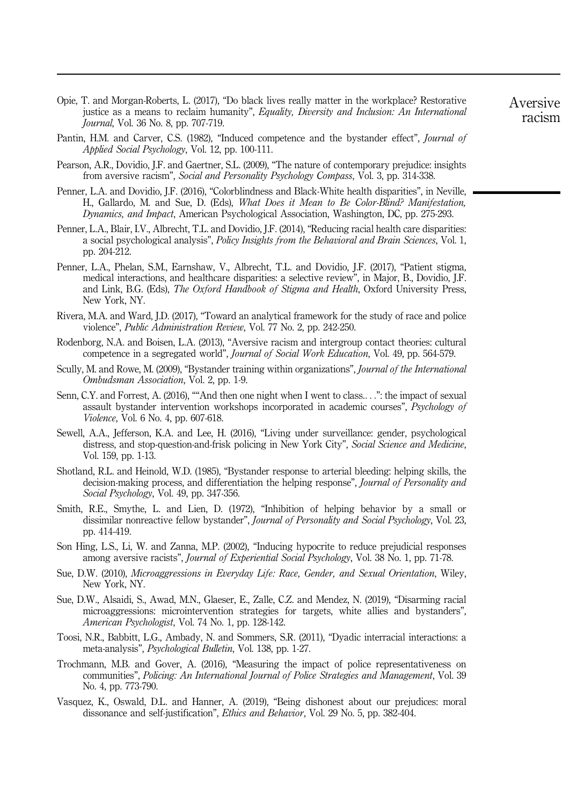- <span id="page-12-0"></span>Opie, T. and Morgan-Roberts, L. (2017), "Do black lives really matter in the workplace? Restorative justice as a means to reclaim humanity", *Equality, Diversity and Inclusion: An International* Journal, Vol. 36 No. 8, pp. 707-719.
- Pantin, H.M. and Carver, C.S. (1982), "Induced competence and the bystander effect", Journal of Applied Social Psychology, Vol. 12, pp. 100-111.
- Pearson, A.R., Dovidio, J.F. and Gaertner, S.L. (2009), "The nature of contemporary prejudice: insights from aversive racism", Social and Personality Psychology Compass, Vol. 3, pp. 314-338.
- Penner, L.A. and Dovidio, J.F. (2016), "Colorblindness and Black-White health disparities", in Neville, H., Gallardo, M. and Sue, D. (Eds), What Does it Mean to Be Color-Blind? Manifestation, Dynamics, and Impact, American Psychological Association, Washington, DC, pp. 275-293.
- Penner, L.A., Blair, I.V., Albrecht, T.L. and Dovidio, J.F. (2014), "Reducing racial health care disparities: a social psychological analysis", Policy Insights from the Behavioral and Brain Sciences, Vol. 1, pp. 204-212.
- Penner, L.A., Phelan, S.M., Earnshaw, V., Albrecht, T.L. and Dovidio, J.F. (2017), "Patient stigma, medical interactions, and healthcare disparities: a selective review", in Major, B., Dovidio, J.F. and Link, B.G. (Eds), The Oxford Handbook of Stigma and Health, Oxford University Press, New York, NY.
- Rivera, M.A. and Ward, J.D. (2017), "Toward an analytical framework for the study of race and police violence", Public Administration Review, Vol. 77 No. 2, pp. 242-250.
- Rodenborg, N.A. and Boisen, L.A. (2013), "Aversive racism and intergroup contact theories: cultural competence in a segregated world", Journal of Social Work Education, Vol. 49, pp. 564-579.
- Scully, M. and Rowe, M. (2009), "Bystander training within organizations", Journal of the International Ombudsman Association, Vol. 2, pp. 1-9.
- Senn, C.Y. and Forrest, A. (2016), ""And then one night when I went to class....": the impact of sexual assault bystander intervention workshops incorporated in academic courses", Psychology of Violence, Vol. 6 No. 4, pp. 607-618.
- Sewell, A.A., Jefferson, K.A. and Lee, H. (2016), "Living under surveillance: gender, psychological distress, and stop-question-and-frisk policing in New York City", Social Science and Medicine, Vol. 159, pp. 1-13.
- Shotland, R.L. and Heinold, W.D. (1985), "Bystander response to arterial bleeding: helping skills, the decision-making process, and differentiation the helping response", *Journal of Personality and* Social Psychology, Vol. 49, pp. 347-356.
- Smith, R.E., Smythe, L. and Lien, D. (1972), "Inhibition of helping behavior by a small or dissimilar nonreactive fellow bystander", Journal of Personality and Social Psychology, Vol. 23, pp. 414-419.
- Son Hing, L.S., Li, W. and Zanna, M.P. (2002), "Inducing hypocrite to reduce prejudicial responses among aversive racists", Journal of Experiential Social Psychology, Vol. 38 No. 1, pp. 71-78.
- Sue, D.W. (2010), Microaggressions in Everyday Life: Race, Gender, and Sexual Orientation, Wiley, New York, NY.
- Sue, D.W., Alsaidi, S., Awad, M.N., Glaeser, E., Zalle, C.Z. and Mendez, N. (2019), "Disarming racial microaggressions: microintervention strategies for targets, white allies and bystanders", American Psychologist, Vol. 74 No. 1, pp. 128-142.
- Toosi, N.R., Babbitt, L.G., Ambady, N. and Sommers, S.R. (2011), "Dyadic interracial interactions: a meta-analysis", Psychological Bulletin, Vol. 138, pp. 1-27.
- Trochmann, M.B. and Gover, A. (2016), "Measuring the impact of police representativeness on communities", Policing: An International Journal of Police Strategies and Management, Vol. 39 No. 4, pp. 773-790.
- Vasquez, K., Oswald, D.L. and Hanner, A. (2019), "Being dishonest about our prejudices: moral dissonance and self-justification", Ethics and Behavior, Vol. 29 No. 5, pp. 382-404.